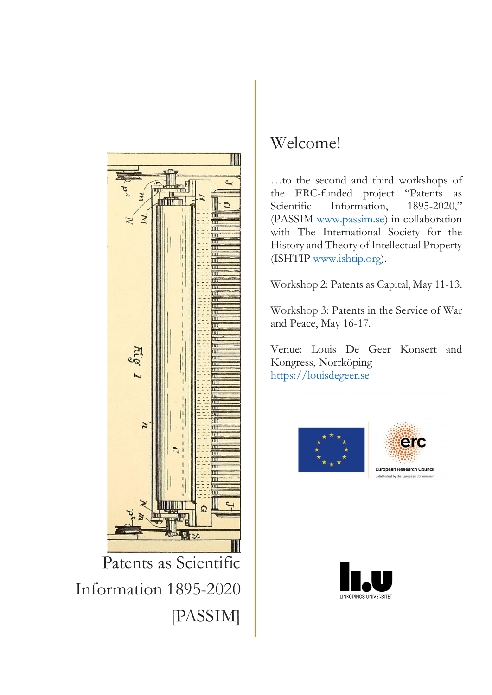

Patents as Scientific *Dear colleagues,*  Information 1895-2020 [PASSIM] and discussion have taken place via zoom and other digital platforms. Travel has been non-existent,

## with field  $\frac{1}{N}$  archival visits cancelled or modified. For  $\frac{1}{N}$ project, the past two years have meant rethinking, respectively.

since the spring of 2020, academic workshops and conferences have been put on hiatus. Meetings and discussion have taken place via zoom and other digital platforms. Travel has been non-existent,

 $\sqrt{2\pi}$   $\sqrt{2\pi}$   $\sqrt{2\pi}$  with the second and third workshops of  $\frac{1}{\sqrt{2}}$   $\frac{1}{\sqrt{2}}$  the ERC-funded project "Patents as  $\sqrt{\frac{1}{\|u\|_{\infty}}\|}$  Scientific Information, 1895-2020,"  $\leq$   $\leq$   $\|$   $\|$   $\|$   $\leq$   $\leq$   $\|$   $\|$   $\leq$   $\leq$   $\leq$   $\|$   $\|$   $\leq$   $\leq$   $\leq$   $\leq$   $\leq$   $\leq$   $\leq$   $\leq$   $\leq$   $\leq$   $\leq$   $\leq$   $\leq$   $\leq$   $\leq$   $\leq$   $\leq$   $\leq$   $\leq$   $\leq$   $\leq$   $\leq$   $\leq$   $\leq$   $\| \cdot \|_{L^1}$  with The International Society for the History and Theory of Intellectual Property (ISHTIP [www.ishtip.org\)](http://www.ishtip.org/).

*Eva Hemmungs Wirtén* Workshop 2: Patents as Capital, May 11-13.

Workshop 3: Patents in the Service of War and Peace, May 16-17.

Venue: Louis De Geer Konsert and Kongress, Norrköping





**European Research Council** Established by the European Com

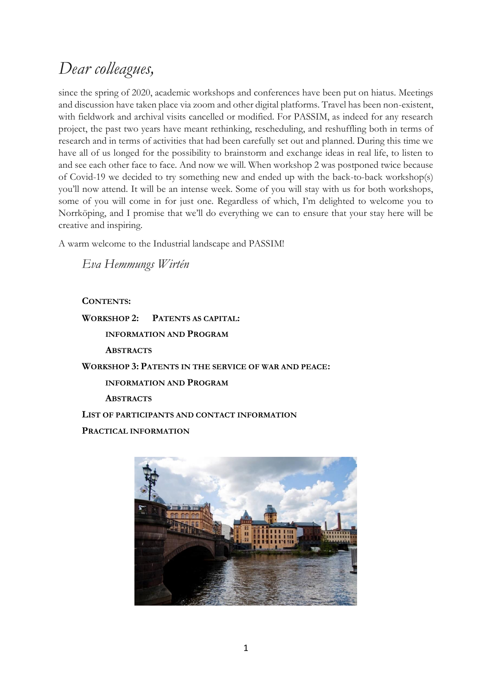## *Dear colleagues,*

since the spring of 2020, academic workshops and conferences have been put on hiatus. Meetings and discussion have taken place via zoom and other digital platforms. Travel has been non-existent, with fieldwork and archival visits cancelled or modified. For PASSIM, as indeed for any research project, the past two years have meant rethinking, rescheduling, and reshuffling both in terms of research and in terms of activities that had been carefully set out and planned. During this time we have all of us longed for the possibility to brainstorm and exchange ideas in real life, to listen to and see each other face to face. And now we will. When workshop 2 was postponed twice because of Covid-19 we decided to try something new and ended up with the back-to-back workshop(s) you'll now attend. It will be an intense week. Some of you will stay with us for both workshops, some of you will come in for just one. Regardless of which, I'm delighted to welcome you to Norrköping, and I promise that we'll do everything we can to ensure that your stay here will be creative and inspiring.

A warm welcome to the Industrial landscape and PASSIM!

*Eva Hemmungs Wirtén* 

## **CONTENTS:**

**WORKSHOP 2: PATENTS AS CAPITAL: INFORMATION AND PROGRAM ABSTRACTS WORKSHOP 3: PATENTS IN THE SERVICE OF WAR AND PEACE: INFORMATION AND PROGRAM ABSTRACTS LIST OF PARTICIPANTS AND CONTACT INFORMATION PRACTICAL INFORMATION**

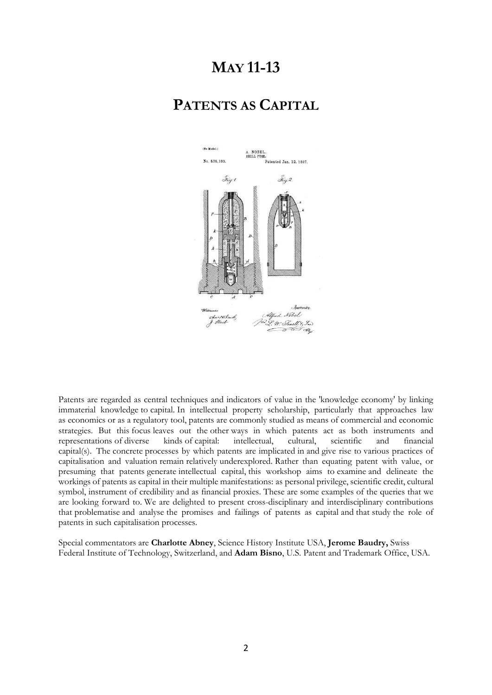## **MAY 11-13**

## **PATENTS AS CAPITAL**



Patents are regarded as central techniques and indicators of value in the 'knowledge economy' by linking immaterial knowledge to capital. In intellectual property scholarship, particularly that approaches law as economics or as a regulatory tool, patents are commonly studied as means of commercial and economic strategies. But this focus leaves out the other ways in which patents act as both instruments and representations of diverse kinds of capital: intellectual, cultural, scientific and financial capital(s). The concrete processes by which patents are implicated in and give rise to various practices of capitalisation and valuation remain relatively underexplored. Rather than equating patent with value, or presuming that patents generate intellectual capital, this workshop aims to examine and delineate the workings of patents as capital in their multiple manifestations: as personal privilege, scientific credit, cultural symbol, instrument of credibility and as financial proxies. These are some examples of the queries that we are looking forward to. We are delighted to present cross-disciplinary and interdisciplinary contributions that problematise and analyse the promises and failings of patents as capital and that study the role of patents in such capitalisation processes.

Special commentators are **Charlotte Abney**, Science History Institute USA, **Jerome Baudry,** Swiss Federal Institute of Technology, Switzerland, and **Adam Bisno**, U.S. Patent and Trademark Office, USA.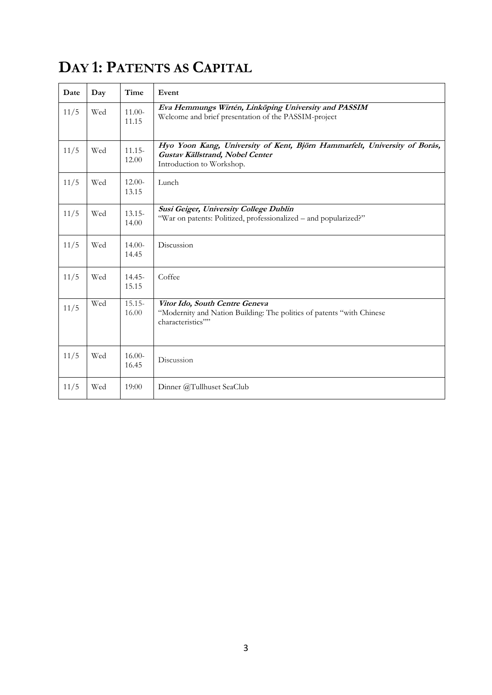# **DAY 1: PATENTS AS CAPITAL**

| Date | Day | Time               | Event                                                                                                                                     |
|------|-----|--------------------|-------------------------------------------------------------------------------------------------------------------------------------------|
| 11/5 | Wed | $11.00-$<br>11.15  | Eva Hemmungs Wirtén, Linköping University and PASSIM<br>Welcome and brief presentation of the PASSIM-project                              |
| 11/5 | Wed | $11.15 -$<br>12.00 | Hyo Yoon Kang, University of Kent, Björn Hammarfelt, University of Borås,<br>Gustav Källstrand, Nobel Center<br>Introduction to Workshop. |
| 11/5 | Wed | $12.00-$<br>13.15  | Lunch                                                                                                                                     |
| 11/5 | Wed | $13.15 -$<br>14.00 | Susi Geiger, University College Dublin<br>"War on patents: Politized, professionalized – and popularized?"                                |
| 11/5 | Wed | $14.00-$<br>14.45  | Discussion                                                                                                                                |
| 11/5 | Wed | $14.45 -$<br>15.15 | Coffee                                                                                                                                    |
| 11/5 | Wed | $15.15-$<br>16.00  | Vitor Ido, South Centre Geneva<br>"Modernity and Nation Building: The politics of patents "with Chinese"<br>characteristics""             |
| 11/5 | Wed | $16.00-$<br>16.45  | Discussion                                                                                                                                |
| 11/5 | Wed | 19:00              | Dinner @Tullhuset SeaClub                                                                                                                 |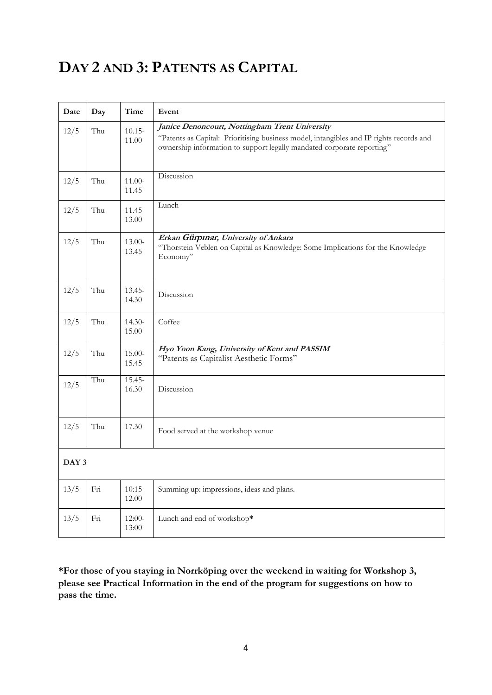# **DAY 2 AND 3: PATENTS AS CAPITAL**

| Date  | Day | Time               | Event                                                                                                                                                                                                               |
|-------|-----|--------------------|---------------------------------------------------------------------------------------------------------------------------------------------------------------------------------------------------------------------|
| 12/5  | Thu | $10.15 -$<br>11.00 | Janice Denoncourt, Nottingham Trent University<br>"Patents as Capital: Prioritising business model, intangibles and IP rights records and<br>ownership information to support legally mandated corporate reporting" |
| 12/5  | Thu | $11.00-$<br>11.45  | Discussion                                                                                                                                                                                                          |
| 12/5  | Thu | $11.45 -$<br>13.00 | Lunch                                                                                                                                                                                                               |
| 12/5  | Thu | $13.00-$<br>13.45  | Erkan Gürpinar, University of Ankara<br>"Thorstein Veblen on Capital as Knowledge: Some Implications for the Knowledge<br>Economy"                                                                                  |
| 12/5  | Thu | $13.45 -$<br>14.30 | Discussion                                                                                                                                                                                                          |
| 12/5  | Thu | $14.30-$<br>15.00  | Coffee                                                                                                                                                                                                              |
| 12/5  | Thu | 15.00-<br>15.45    | Hyo Yoon Kang, University of Kent and PASSIM<br>"Patents as Capitalist Aesthetic Forms"                                                                                                                             |
| 12/5  | Thu | $15.45 -$<br>16.30 | Discussion                                                                                                                                                                                                          |
| 12/5  | Thu | 17.30              | Food served at the workshop venue                                                                                                                                                                                   |
| DAY 3 |     |                    |                                                                                                                                                                                                                     |
| 13/5  | Fri | $10:15-$<br>12.00  | Summing up: impressions, ideas and plans.                                                                                                                                                                           |
| 13/5  | Fri | 12:00-<br>13:00    | Lunch and end of workshop*                                                                                                                                                                                          |

**\*For those of you staying in Norrköping over the weekend in waiting for Workshop 3, please see Practical Information in the end of the program for suggestions on how to pass the time.**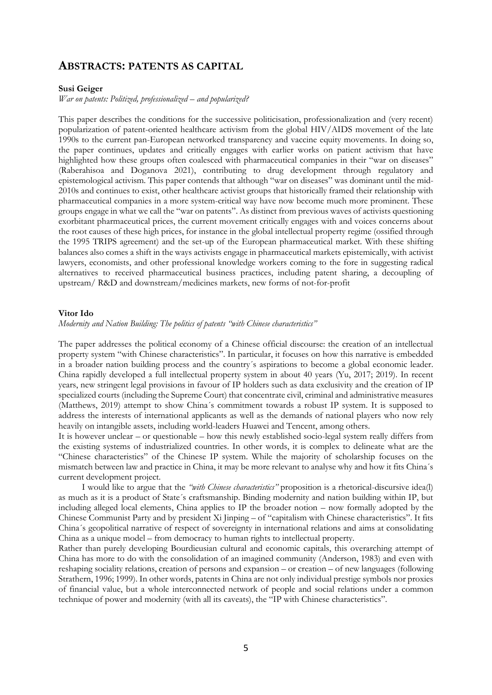## **ABSTRACTS: PATENTS AS CAPITAL**

#### **Susi Geiger**

*War on patents: Politized, professionalized – and popularized?*

This paper describes the conditions for the successive politicisation, professionalization and (very recent) popularization of patent-oriented healthcare activism from the global HIV/AIDS movement of the late 1990s to the current pan-European networked transparency and vaccine equity movements. In doing so, the paper continues, updates and critically engages with earlier works on patient activism that have highlighted how these groups often coalesced with pharmaceutical companies in their "war on diseases" (Raberahisoa and Doganova 2021), contributing to drug development through regulatory and epistemological activism. This paper contends that although "war on diseases" was dominant until the mid-2010s and continues to exist, other healthcare activist groups that historically framed their relationship with pharmaceutical companies in a more system-critical way have now become much more prominent. These groups engage in what we call the "war on patents". As distinct from previous waves of activists questioning exorbitant pharmaceutical prices, the current movement critically engages with and voices concerns about the root causes of these high prices, for instance in the global intellectual property regime (ossified through the 1995 TRIPS agreement) and the set-up of the European pharmaceutical market. With these shifting balances also comes a shift in the ways activists engage in pharmaceutical markets epistemically, with activist lawyers, economists, and other professional knowledge workers coming to the fore in suggesting radical alternatives to received pharmaceutical business practices, including patent sharing, a decoupling of upstream/ R&D and downstream/medicines markets, new forms of not-for-profit

#### **Vitor Ido**

*Modernity and Nation Building: The politics of patents "with Chinese characteristics"*

The paper addresses the political economy of a Chinese official discourse: the creation of an intellectual property system "with Chinese characteristics". In particular, it focuses on how this narrative is embedded in a broader nation building process and the country´s aspirations to become a global economic leader. China rapidly developed a full intellectual property system in about 40 years (Yu, 2017; 2019). In recent years, new stringent legal provisions in favour of IP holders such as data exclusivity and the creation of IP specialized courts (including the Supreme Court) that concentrate civil, criminal and administrative measures (Matthews, 2019) attempt to show China´s commitment towards a robust IP system. It is supposed to address the interests of international applicants as well as the demands of national players who now rely heavily on intangible assets, including world-leaders Huawei and Tencent, among others.

It is however unclear – or questionable – how this newly established socio-legal system really differs from the existing systems of industrialized countries. In other words, it is complex to delineate what are the "Chinese characteristics" of the Chinese IP system. While the majority of scholarship focuses on the mismatch between law and practice in China, it may be more relevant to analyse why and how it fits China´s current development project.

I would like to argue that the *"with Chinese characteristics"* proposition is a rhetorical-discursive idea(l) as much as it is a product of State´s craftsmanship. Binding modernity and nation building within IP, but including alleged local elements, China applies to IP the broader notion – now formally adopted by the Chinese Communist Party and by president Xi Jinping – of "capitalism with Chinese characteristics". It fits China´s geopolitical narrative of respect of sovereignty in international relations and aims at consolidating China as a unique model – from democracy to human rights to intellectual property.

Rather than purely developing Bourdieusian cultural and economic capitals, this overarching attempt of China has more to do with the consolidation of an imagined community (Anderson, 1983) and even with reshaping sociality relations, creation of persons and expansion – or creation – of new languages (following Strathern, 1996; 1999). In other words, patents in China are not only individual prestige symbols nor proxies of financial value, but a whole interconnected network of people and social relations under a common technique of power and modernity (with all its caveats), the "IP with Chinese characteristics".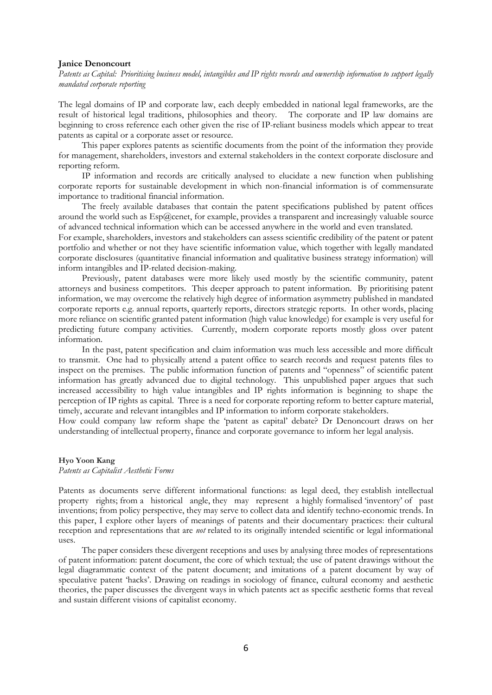#### **Janice Denoncourt**

*Patents as Capital: Prioritising business model, intangibles and IP rights records and ownership information to support legally mandated corporate reporting*

The legal domains of IP and corporate law, each deeply embedded in national legal frameworks, are the result of historical legal traditions, philosophies and theory. The corporate and IP law domains are beginning to cross reference each other given the rise of IP-reliant business models which appear to treat patents as capital or a corporate asset or resource.

This paper explores patents as scientific documents from the point of the information they provide for management, shareholders, investors and external stakeholders in the context corporate disclosure and reporting reform.

IP information and records are critically analysed to elucidate a new function when publishing corporate reports for sustainable development in which non-financial information is of commensurate importance to traditional financial information.

The freely available databases that contain the patent specifications published by patent offices around the world such as  $Esp@cent$ , for example, provides a transparent and increasingly valuable source of advanced technical information which can be accessed anywhere in the world and even translated.

For example, shareholders, investors and stakeholders can assess scientific credibility of the patent or patent portfolio and whether or not they have scientific information value, which together with legally mandated corporate disclosures (quantitative financial information and qualitative business strategy information) will inform intangibles and IP-related decision-making.

Previously, patent databases were more likely used mostly by the scientific community, patent attorneys and business competitors. This deeper approach to patent information. By prioritising patent information, we may overcome the relatively high degree of information asymmetry published in mandated corporate reports e.g. annual reports, quarterly reports, directors strategic reports. In other words, placing more reliance on scientific granted patent information (high value knowledge) for example is very useful for predicting future company activities. Currently, modern corporate reports mostly gloss over patent information.

In the past, patent specification and claim information was much less accessible and more difficult to transmit. One had to physically attend a patent office to search records and request patents files to inspect on the premises. The public information function of patents and "openness" of scientific patent information has greatly advanced due to digital technology. This unpublished paper argues that such increased accessibility to high value intangibles and IP rights information is beginning to shape the perception of IP rights as capital. Three is a need for corporate reporting reform to better capture material, timely, accurate and relevant intangibles and IP information to inform corporate stakeholders.

How could company law reform shape the 'patent as capital' debate? Dr Denoncourt draws on her understanding of intellectual property, finance and corporate governance to inform her legal analysis.

#### **Hyo Yoon Kang**

*Patents as Capitalist Aesthetic Forms*

Patents as documents serve different informational functions: as legal deed, they establish intellectual property rights; from a historical angle, they may represent a highly formalised 'inventory' of past inventions; from policy perspective, they may serve to collect data and identify techno-economic trends. In this paper, I explore other layers of meanings of patents and their documentary practices: their cultural reception and representations that are *not* related to its originally intended scientific or legal informational uses.

The paper considers these divergent receptions and uses by analysing three modes of representations of patent information: patent document, the core of which textual; the use of patent drawings without the legal diagrammatic context of the patent document; and imitations of a patent document by way of speculative patent 'hacks'. Drawing on readings in sociology of finance, cultural economy and aesthetic theories, the paper discusses the divergent ways in which patents act as specific aesthetic forms that reveal and sustain different visions of capitalist economy.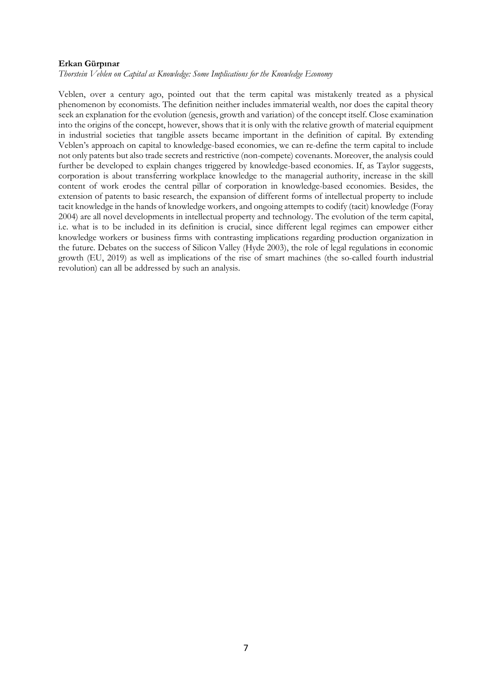### **Erkan Gürpınar**

*Thorstein Veblen on Capital as Knowledge: Some Implications for the Knowledge Economy*

Veblen, over a century ago, pointed out that the term capital was mistakenly treated as a physical phenomenon by economists. The definition neither includes immaterial wealth, nor does the capital theory seek an explanation for the evolution (genesis, growth and variation) of the concept itself. Close examination into the origins of the concept, however, shows that it is only with the relative growth of material equipment in industrial societies that tangible assets became important in the definition of capital. By extending Veblen's approach on capital to knowledge-based economies, we can re-define the term capital to include not only patents but also trade secrets and restrictive (non-compete) covenants. Moreover, the analysis could further be developed to explain changes triggered by knowledge-based economies. If, as Taylor suggests, corporation is about transferring workplace knowledge to the managerial authority, increase in the skill content of work erodes the central pillar of corporation in knowledge-based economies. Besides, the extension of patents to basic research, the expansion of different forms of intellectual property to include tacit knowledge in the hands of knowledge workers, and ongoing attempts to codify (tacit) knowledge (Foray 2004) are all novel developments in intellectual property and technology. The evolution of the term capital, i.e. what is to be included in its definition is crucial, since different legal regimes can empower either knowledge workers or business firms with contrasting implications regarding production organization in the future. Debates on the success of Silicon Valley (Hyde 2003), the role of legal regulations in economic growth (EU, 2019) as well as implications of the rise of smart machines (the so-called fourth industrial revolution) can all be addressed by such an analysis.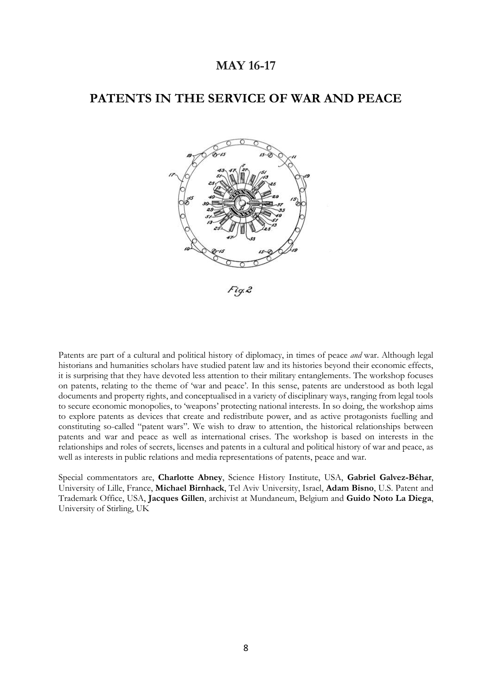## **MAY 16-17**

## **PATENTS IN THE SERVICE OF WAR AND PEACE**



Patents are part of a cultural and political history of diplomacy, in times of peace *and* war. Although legal historians and humanities scholars have studied patent law and its histories beyond their economic effects, it is surprising that they have devoted less attention to their military entanglements. The workshop focuses on patents, relating to the theme of 'war and peace'. In this sense, patents are understood as both legal documents and property rights, and conceptualised in a variety of disciplinary ways, ranging from legal tools to secure economic monopolies, to 'weapons' protecting national interests. In so doing, the workshop aims to explore patents as devices that create and redistribute power, and as active protagonists fuelling and constituting so-called "patent wars". We wish to draw to attention, the historical relationships between patents and war and peace as well as international crises. The workshop is based on interests in the relationships and roles of secrets, licenses and patents in a cultural and political history of war and peace, as well as interests in public relations and media representations of patents, peace and war.

Special commentators are, **Charlotte Abney**, Science History Institute, USA, **Gabriel Galvez-Béhar**, University of Lille, France, **Michael Birnhack**, Tel Aviv University, Israel, **Adam Bisno**, U.S. Patent and Trademark Office, USA, **Jacques Gillen**, archivist at Mundaneum, Belgium and **Guido Noto La Diega**, University of Stirling, UK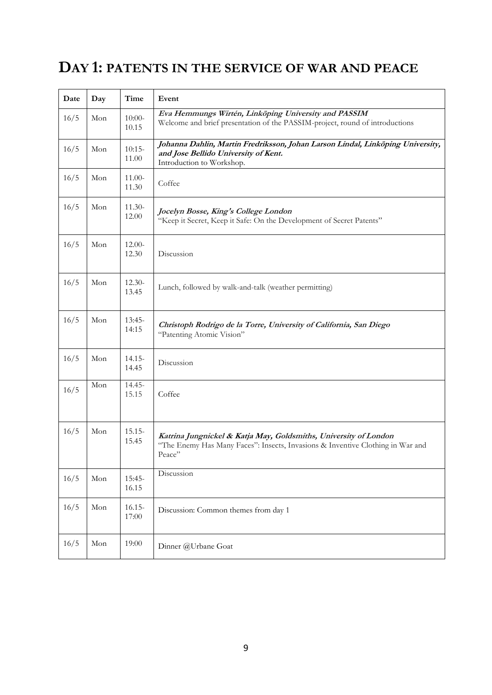# **DAY 1: PATENTS IN THE SERVICE OF WAR AND PEACE**

| Date | Day | Time               | Event                                                                                                                                                        |
|------|-----|--------------------|--------------------------------------------------------------------------------------------------------------------------------------------------------------|
| 16/5 | Mon | $10:00-$<br>10.15  | Eva Hemmungs Wirtén, Linköping University and PASSIM<br>Welcome and brief presentation of the PASSIM-project, round of introductions                         |
| 16/5 | Mon | $10:15-$<br>11.00  | Johanna Dahlin, Martin Fredriksson, Johan Larson Lindal, Linköping University,<br>and Jose Bellido University of Kent.<br>Introduction to Workshop.          |
| 16/5 | Mon | 11.00-<br>11.30    | Coffee                                                                                                                                                       |
| 16/5 | Mon | $11.30-$<br>12.00  | Jocelyn Bosse, King's College London<br>"Keep it Secret, Keep it Safe: On the Development of Secret Patents"                                                 |
| 16/5 | Mon | $12.00-$<br>12.30  | Discussion                                                                                                                                                   |
| 16/5 | Mon | $12.30-$<br>13.45  | Lunch, followed by walk-and-talk (weather permitting)                                                                                                        |
| 16/5 | Mon | $13:45-$<br>14:15  | Christoph Rodrigo de la Torre, University of California, San Diego<br>"Patenting Atomic Vision"                                                              |
| 16/5 | Mon | $14.15 -$<br>14.45 | Discussion                                                                                                                                                   |
| 16/5 | Mon | $14.45 -$<br>15.15 | Coffee                                                                                                                                                       |
| 16/5 | Mon | $15.15 -$<br>15.45 | Katrina Jungnickel & Katja May, Goldsmiths, University of London<br>"The Enemy Has Many Faces": Insects, Invasions & Inventive Clothing in War and<br>Peace" |
| 16/5 | Mon | $15:45-$<br>16.15  | Discussion                                                                                                                                                   |
| 16/5 | Mon | $16.15 -$<br>17:00 | Discussion: Common themes from day 1                                                                                                                         |
| 16/5 | Mon | 19:00              | Dinner @Urbane Goat                                                                                                                                          |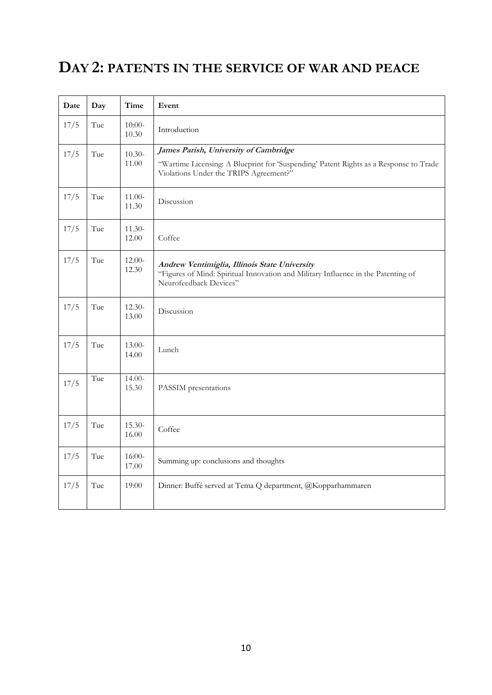## **DAY 2: PATENTS IN THE SERVICE OF WAR AND PEACE**

| Date | Day | Time              | Event                                                                                                                                                                    |
|------|-----|-------------------|--------------------------------------------------------------------------------------------------------------------------------------------------------------------------|
| 17/5 | Tue | $10:00-$<br>10.30 | Introduction                                                                                                                                                             |
| 17/5 | Tue | $10.30-$<br>11.00 | James Parish, University of Cambridge<br>"Wartime Licensing: A Blueprint for 'Suspending' Patent Rights as a Response to Trade<br>Violations Under the TRIPS Agreement?" |
| 17/5 | Tue | 11.00-<br>11.30   | Discussion                                                                                                                                                               |
| 17/5 | Tue | $11.30-$<br>12.00 | Coffee                                                                                                                                                                   |
| 17/5 | Tue | $12.00-$<br>12.30 | Andrew Ventimiglia, Illinois State University<br>"Figures of Mind: Spiritual Innovation and Military Influence in the Patenting of<br>Neurofeedback Devices"             |
| 17/5 | Tue | $12.30-$<br>13.00 | Discussion                                                                                                                                                               |
| 17/5 | Tue | 13.00-<br>14.00   | Lunch                                                                                                                                                                    |
| 17/5 | Tue | $14.00-$<br>15.30 | PASSIM presentations                                                                                                                                                     |
| 17/5 | Tue | $15.30-$<br>16.00 | Coffee                                                                                                                                                                   |
| 17/5 | Tue | $16:00-$<br>17.00 | Summing up: conclusions and thoughts                                                                                                                                     |
| 17/5 | Tue | 19:00             | Dinner: Buffé served at Tema Q department, @Kopparhammaren                                                                                                               |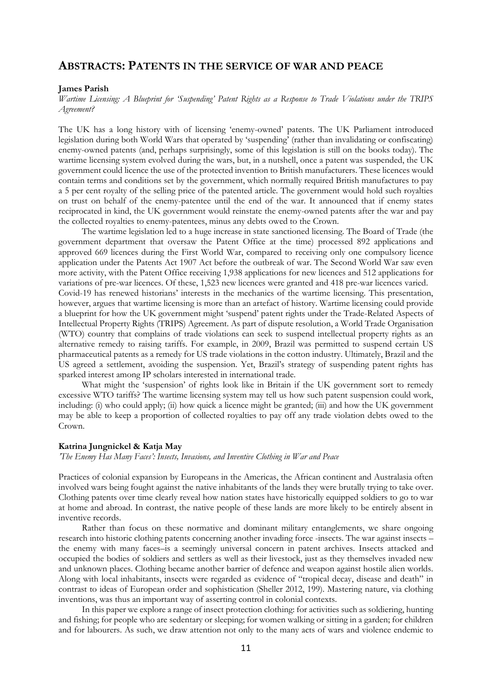## **ABSTRACTS: PATENTS IN THE SERVICE OF WAR AND PEACE**

### **James Parish**

*Wartime Licensing: A Blueprint for 'Suspending' Patent Rights as a Response to Trade Violations under the TRIPS Agreement?*

The UK has a long history with of licensing 'enemy-owned' patents. The UK Parliament introduced legislation during both World Wars that operated by 'suspending' (rather than invalidating or confiscating) enemy-owned patents (and, perhaps surprisingly, some of this legislation is still on the books today). The wartime licensing system evolved during the wars, but, in a nutshell, once a patent was suspended, the UK government could licence the use of the protected invention to British manufacturers. These licences would contain terms and conditions set by the government, which normally required British manufactures to pay a 5 per cent royalty of the selling price of the patented article. The government would hold such royalties on trust on behalf of the enemy-patentee until the end of the war. It announced that if enemy states reciprocated in kind, the UK government would reinstate the enemy-owned patents after the war and pay the collected royalties to enemy-patentees, minus any debts owed to the Crown.

The wartime legislation led to a huge increase in state sanctioned licensing. The Board of Trade (the government department that oversaw the Patent Office at the time) processed 892 applications and approved 669 licences during the First World War, compared to receiving only one compulsory licence application under the Patents Act 1907 Act before the outbreak of war. The Second World War saw even more activity, with the Patent Office receiving 1,938 applications for new licences and 512 applications for variations of pre-war licences. Of these, 1,523 new licences were granted and 418 pre-war licences varied. Covid-19 has renewed historians' interests in the mechanics of the wartime licensing. This presentation, however, argues that wartime licensing is more than an artefact of history. Wartime licensing could provide a blueprint for how the UK government might 'suspend' patent rights under the Trade-Related Aspects of Intellectual Property Rights (TRIPS) Agreement. As part of dispute resolution, a World Trade Organisation (WTO) country that complains of trade violations can seek to suspend intellectual property rights as an alternative remedy to raising tariffs. For example, in 2009, Brazil was permitted to suspend certain US pharmaceutical patents as a remedy for US trade violations in the cotton industry. Ultimately, Brazil and the US agreed a settlement, avoiding the suspension. Yet, Brazil's strategy of suspending patent rights has sparked interest among IP scholars interested in international trade.

What might the 'suspension' of rights look like in Britain if the UK government sort to remedy excessive WTO tariffs? The wartime licensing system may tell us how such patent suspension could work, including: (i) who could apply; (ii) how quick a licence might be granted; (iii) and how the UK government may be able to keep a proportion of collected royalties to pay off any trade violation debts owed to the Crown.

### **Katrina Jungnickel & Katja May**

*'The Enemy Has Many Faces': Insects, Invasions, and Inventive Clothing in War and Peace*

Practices of colonial expansion by Europeans in the Americas, the African continent and Australasia often involved wars being fought against the native inhabitants of the lands they were brutally trying to take over. Clothing patents over time clearly reveal how nation states have historically equipped soldiers to go to war at home and abroad. In contrast, the native people of these lands are more likely to be entirely absent in inventive records.

Rather than focus on these normative and dominant military entanglements, we share ongoing research into historic clothing patents concerning another invading force -insects. The war against insects – the enemy with many faces–is a seemingly universal concern in patent archives. Insects attacked and occupied the bodies of soldiers and settlers as well as their livestock, just as they themselves invaded new and unknown places. Clothing became another barrier of defence and weapon against hostile alien worlds. Along with local inhabitants, insects were regarded as evidence of "tropical decay, disease and death" in contrast to ideas of European order and sophistication (Sheller 2012, 199). Mastering nature, via clothing inventions, was thus an important way of asserting control in colonial contexts.

In this paper we explore a range of insect protection clothing: for activities such as soldiering, hunting and fishing; for people who are sedentary or sleeping; for women walking or sitting in a garden; for children and for labourers. As such, we draw attention not only to the many acts of wars and violence endemic to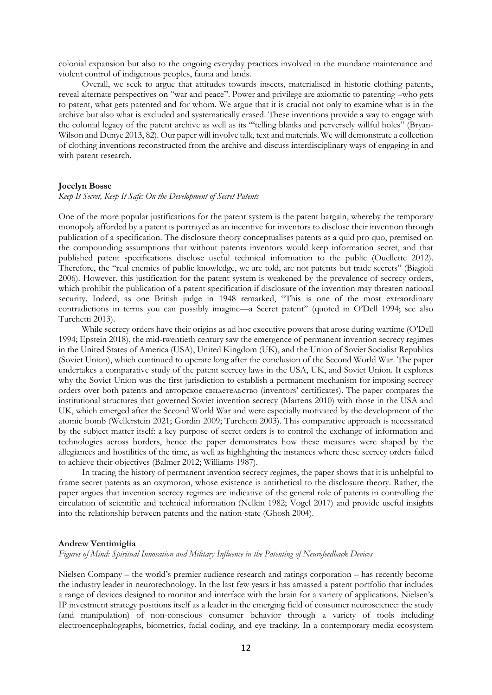colonial expansion but also to the ongoing everyday practices involved in the mundane maintenance and violent control of indigenous peoples, fauna and lands.

Overall, we seek to argue that attitudes towards insects, materialised in historic clothing patents, reveal alternate perspectives on "war and peace". Power and privilege are axiomatic to patenting –who gets to patent, what gets patented and for whom. We argue that it is crucial not only to examine what is in the archive but also what is excluded and systematically erased. These inventions provide a way to engage with the colonial legacy of the patent archive as well as its "'telling blanks and perversely willful holes" (Bryan-Wilson and Dunye 2013, 82). Our paper will involve talk, text and materials. We will demonstrate a collection of clothing inventions reconstructed from the archive and discuss interdisciplinary ways of engaging in and with patent research.

### **Jocelyn Bosse**

#### *Keep It Secret, Keep It Safe: On the Development of Secret Patents*

One of the more popular justifications for the patent system is the patent bargain, whereby the temporary monopoly afforded by a patent is portrayed as an incentive for inventors to disclose their invention through publication of a specification. The disclosure theory conceptualises patents as a quid pro quo, premised on the compounding assumptions that without patents inventors would keep information secret, and that published patent specifications disclose useful technical information to the public (Ouellette 2012). Therefore, the "real enemies of public knowledge, we are told, are not patents but trade secrets" (Biagioli 2006). However, this justification for the patent system is weakened by the prevalence of secrecy orders, which prohibit the publication of a patent specification if disclosure of the invention may threaten national security. Indeed, as one British judge in 1948 remarked, "This is one of the most extraordinary contradictions in terms you can possibly imagine—a Secret patent" (quoted in O'Dell 1994; see also Turchetti 2013).

While secrecy orders have their origins as ad hoc executive powers that arose during wartime (O'Dell 1994; Epstein 2018), the mid-twentieth century saw the emergence of permanent invention secrecy regimes in the United States of America (USA), United Kingdom (UK), and the Union of Soviet Socialist Republics (Soviet Union), which continued to operate long after the conclusion of the Second World War. The paper undertakes a comparative study of the patent secrecy laws in the USA, UK, and Soviet Union. It explores why the Soviet Union was the first jurisdiction to establish a permanent mechanism for imposing secrecy orders over both patents and авторское свидетельство (inventors' certificates). The paper compares the institutional structures that governed Soviet invention secrecy (Martens 2010) with those in the USA and UK, which emerged after the Second World War and were especially motivated by the development of the atomic bomb (Wellerstein 2021; Gordin 2009; Turchetti 2003). This comparative approach is necessitated by the subject matter itself: a key purpose of secret orders is to control the exchange of information and technologies across borders, hence the paper demonstrates how these measures were shaped by the allegiances and hostilities of the time, as well as highlighting the instances where these secrecy orders failed to achieve their objectives (Balmer 2012; Williams 1987).

In tracing the history of permanent invention secrecy regimes, the paper shows that it is unhelpful to frame secret patents as an oxymoron, whose existence is antithetical to the disclosure theory. Rather, the paper argues that invention secrecy regimes are indicative of the general role of patents in controlling the circulation of scientific and technical information (Nelkin 1982; Vogel 2017) and provide useful insights into the relationship between patents and the nation-state (Ghosh 2004).

#### **Andrew Ventimiglia**

*Figures of Mind: Spiritual Innovation and Military Influence in the Patenting of Neurofeedback Devices*

Nielsen Company – the world's premier audience research and ratings corporation – has recently become the industry leader in neurotechnology. In the last few years it has amassed a patent portfolio that includes a range of devices designed to monitor and interface with the brain for a variety of applications. Nielsen's IP investment strategy positions itself as a leader in the emerging field of consumer neuroscience: the study (and manipulation) of non-conscious consumer behavior through a variety of tools including electroencephalographs, biometrics, facial coding, and eye tracking. In a contemporary media ecosystem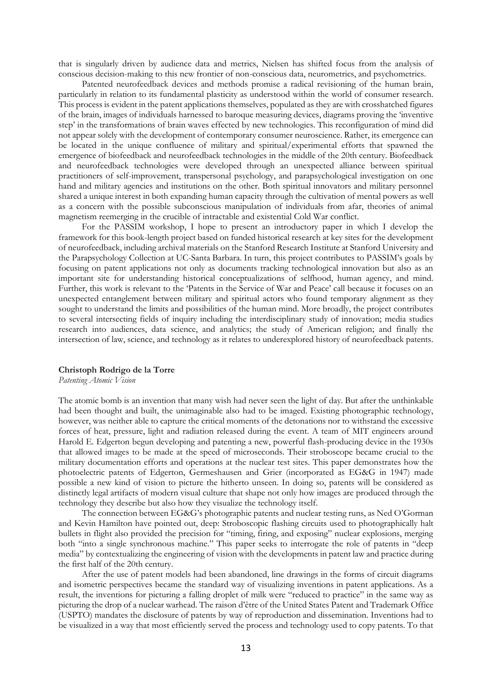that is singularly driven by audience data and metrics, Nielsen has shifted focus from the analysis of conscious decision-making to this new frontier of non-conscious data, neurometrics, and psychometrics.

Patented neurofeedback devices and methods promise a radical revisioning of the human brain, particularly in relation to its fundamental plasticity as understood within the world of consumer research. This process is evident in the patent applications themselves, populated as they are with crosshatched figures of the brain, images of individuals harnessed to baroque measuring devices, diagrams proving the 'inventive step' in the transformations of brain waves effected by new technologies. This reconfiguration of mind did not appear solely with the development of contemporary consumer neuroscience. Rather, its emergence can be located in the unique confluence of military and spiritual/experimental efforts that spawned the emergence of biofeedback and neurofeedback technologies in the middle of the 20th century. Biofeedback and neurofeedback technologies were developed through an unexpected alliance between spiritual practitioners of self-improvement, transpersonal psychology, and parapsychological investigation on one hand and military agencies and institutions on the other. Both spiritual innovators and military personnel shared a unique interest in both expanding human capacity through the cultivation of mental powers as well as a concern with the possible subconscious manipulation of individuals from afar, theories of animal magnetism reemerging in the crucible of intractable and existential Cold War conflict.

For the PASSIM workshop, I hope to present an introductory paper in which I develop the framework for this book-length project based on funded historical research at key sites for the development of neurofeedback, including archival materials on the Stanford Research Institute at Stanford University and the Parapsychology Collection at UC-Santa Barbara. In turn, this project contributes to PASSIM's goals by focusing on patent applications not only as documents tracking technological innovation but also as an important site for understanding historical conceptualizations of selfhood, human agency, and mind. Further, this work is relevant to the 'Patents in the Service of War and Peace' call because it focuses on an unexpected entanglement between military and spiritual actors who found temporary alignment as they sought to understand the limits and possibilities of the human mind. More broadly, the project contributes to several intersecting fields of inquiry including the interdisciplinary study of innovation; media studies research into audiences, data science, and analytics; the study of American religion; and finally the intersection of law, science, and technology as it relates to underexplored history of neurofeedback patents.

#### **Christoph Rodrigo de la Torre**

*Patenting Atomic Vision*

The atomic bomb is an invention that many wish had never seen the light of day. But after the unthinkable had been thought and built, the unimaginable also had to be imaged. Existing photographic technology, however, was neither able to capture the critical moments of the detonations nor to withstand the excessive forces of heat, pressure, light and radiation released during the event. A team of MIT engineers around Harold E. Edgerton begun developing and patenting a new, powerful flash-producing device in the 1930s that allowed images to be made at the speed of microseconds. Their stroboscope became crucial to the military documentation efforts and operations at the nuclear test sites. This paper demonstrates how the photoelectric patents of Edgerton, Germeshausen and Grier (incorporated as EG&G in 1947) made possible a new kind of vision to picture the hitherto unseen. In doing so, patents will be considered as distinctly legal artifacts of modern visual culture that shape not only how images are produced through the technology they describe but also how they visualize the technology itself.

The connection between EG&G's photographic patents and nuclear testing runs, as Ned O'Gorman and Kevin Hamilton have pointed out, deep: Stroboscopic flashing circuits used to photographically halt bullets in flight also provided the precision for "timing, firing, and exposing" nuclear explosions, merging both "into a single synchronous machine." This paper seeks to interrogate the role of patents in "deep media" by contextualizing the engineering of vision with the developments in patent law and practice during the first half of the 20th century.

After the use of patent models had been abandoned, line drawings in the forms of circuit diagrams and isometric perspectives became the standard way of visualizing inventions in patent applications. As a result, the inventions for picturing a falling droplet of milk were "reduced to practice" in the same way as picturing the drop of a nuclear warhead. The raison d'être of the United States Patent and Trademark Office (USPTO) mandates the disclosure of patents by way of reproduction and dissemination. Inventions had to be visualized in a way that most efficiently served the process and technology used to copy patents. To that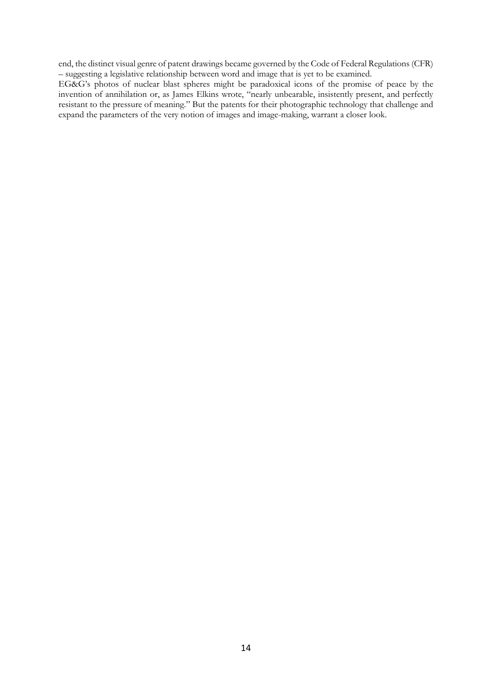end, the distinct visual genre of patent drawings became governed by the Code of Federal Regulations (CFR) – suggesting a legislative relationship between word and image that is yet to be examined.

EG&G's photos of nuclear blast spheres might be paradoxical icons of the promise of peace by the invention of annihilation or, as James Elkins wrote, "nearly unbearable, insistently present, and perfectly resistant to the pressure of meaning." But the patents for their photographic technology that challenge and expand the parameters of the very notion of images and image-making, warrant a closer look.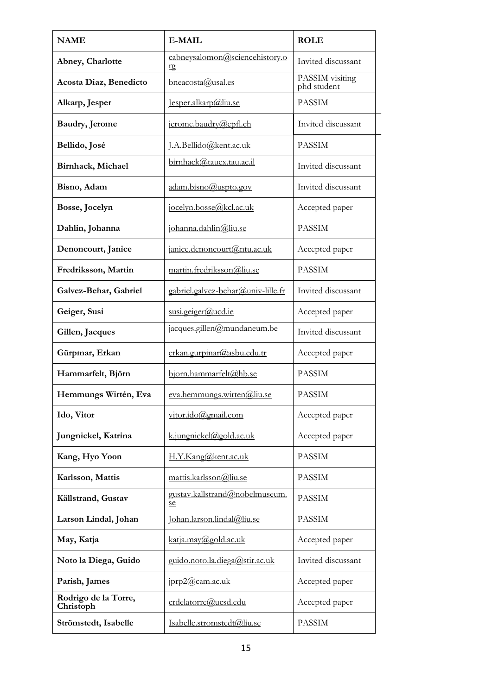| <b>NAME</b>                       | <b>E-MAIL</b>                        | <b>ROLE</b>                    |
|-----------------------------------|--------------------------------------|--------------------------------|
| Abney, Charlotte                  | cabneysalomon@sciencehistory.o<br>rg | Invited discussant             |
| Acosta Diaz, Benedicto            | bneacosta@usal.es                    | PASSIM visiting<br>phd student |
| Alkarp, Jesper                    | Jesper.alkarp@liu.se                 | <b>PASSIM</b>                  |
| Baudry, Jerome                    | jerome.baudry@epfl.ch                | Invited discussant             |
| Bellido, José                     | J.A.Bellido@kent.ac.uk               | <b>PASSIM</b>                  |
| Birnhack, Michael                 | birnhack@tauex.tau.ac.il             | Invited discussant             |
| Bisno, Adam                       | adam.bisno@uspto.gov                 | Invited discussant             |
| Bosse, Jocelyn                    | jocelyn.bosse@kcl.ac.uk              | Accepted paper                 |
| Dahlin, Johanna                   | johanna.dahlin@liu.se                | <b>PASSIM</b>                  |
| Denoncourt, Janice                | janice.denoncourt@ntu.ac.uk          | Accepted paper                 |
| Fredriksson, Martin               | martin.fredriksson@liu.se            | <b>PASSIM</b>                  |
| Galvez-Behar, Gabriel             | gabriel.galvez-behar@univ-lille.fr   | Invited discussant             |
| Geiger, Susi                      | susi.geiger@ucd.ie                   | Accepted paper                 |
| Gillen, Jacques                   | jacques.gillen@mundaneum.be          | Invited discussant             |
| Gürpinar, Erkan                   | erkan.gurpinar@asbu.edu.tr           | Accepted paper                 |
| Hammarfelt, Björn                 | bjorn.hammarfelt@hb.se               | <b>PASSIM</b>                  |
| Hemmungs Wirtén, Eva              | eva.hemmungs.wirten@liu.se           | <b>PASSIM</b>                  |
| Ido, Vitor                        | vitor.ido@gmail.com                  | Accepted paper                 |
| Jungnickel, Katrina               | k.jungnickel@gold.ac.uk              | Accepted paper                 |
| Kang, Hyo Yoon                    | H.Y.Kang@kent.ac.uk                  | <b>PASSIM</b>                  |
| Karlsson, Mattis                  | mattis.karlsson@liu.se               | <b>PASSIM</b>                  |
| Källstrand, Gustav                | gustav.kallstrand@nobelmuseum.<br>se | <b>PASSIM</b>                  |
| Larson Lindal, Johan              | Johan.larson.lindal@liu.se           | <b>PASSIM</b>                  |
| May, Katja                        | katja.may@gold.ac.uk                 | Accepted paper                 |
| Noto la Diega, Guido              | guido.noto.la.diega@stir.ac.uk       | Invited discussant             |
| Parish, James                     | iprp2@cam.ac.uk                      | Accepted paper                 |
| Rodrigo de la Torre,<br>Christoph | crdelatorre@ucsd.edu                 | Accepted paper                 |
| Strömstedt, Isabelle              | Isabelle.stromstedt@liu.se           | <b>PASSIM</b>                  |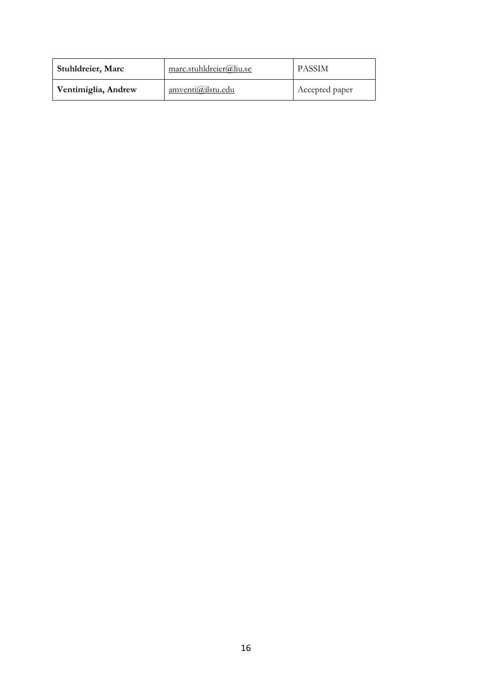| Stuhldreier, Marc   | marc.stuhldreier@liu.se  | <b>PASSIM</b>  |
|---------------------|--------------------------|----------------|
| Ventimiglia, Andrew | <u>amventi@ilstu.edu</u> | Accepted paper |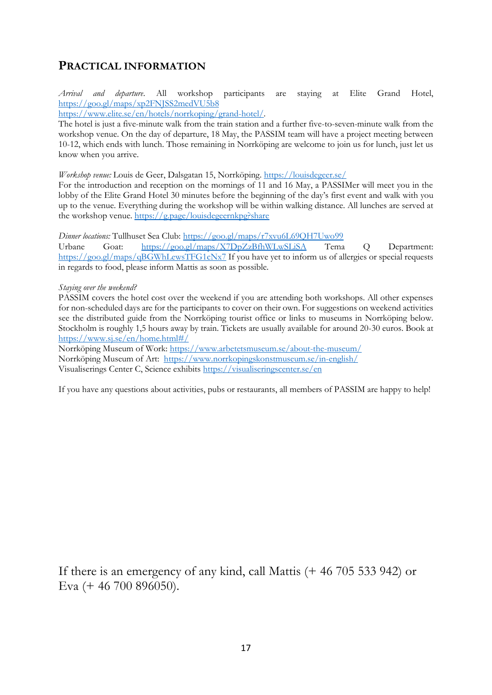## **PRACTICAL INFORMATION**

*Arrival and departure*. All workshop participants are staying at Elite Grand Hotel, <https://goo.gl/maps/xp2FNJSS2medVU5b8>

[https://www.elite.se/en/hotels/norrkoping/grand-hotel/.](https://www.elite.se/en/hotels/norrkoping/grand-hotel/)

The hotel is just a five-minute walk from the train station and a further five-to-seven-minute walk from the workshop venue. On the day of departure, 18 May, the PASSIM team will have a project meeting between 10-12, which ends with lunch. Those remaining in Norrköping are welcome to join us for lunch, just let us know when you arrive.

*Workshop venue:* Louis de Geer, Dalsgatan 15, Norrköping. <https://louisdegeer.se/>

For the introduction and reception on the mornings of 11 and 16 May, a PASSIMer will meet you in the lobby of the Elite Grand Hotel 30 minutes before the beginning of the day's first event and walk with you up to the venue. Everything during the workshop will be within walking distance. All lunches are served at the workshop venue.<https://g.page/louisdegeernkpg?share>

*Dinner locations:* Tullhuset Sea Club:<https://goo.gl/maps/r7xvu6L69QH7Uwo99>

Urbane Goat: <https://goo.gl/maps/X7DpZzBfhWLwSLiSA> Tema Q Department: <https://goo.gl/maps/qBGWhLewsTFG1cNx7> If you have yet to inform us of allergies or special requests in regards to food, please inform Mattis as soon as possible.

### *Staying over the weekend?*

PASSIM covers the hotel cost over the weekend if you are attending both workshops. All other expenses for non-scheduled days are for the participants to cover on their own. For suggestions on weekend activities see the distributed guide from the Norrköping tourist office or links to museums in Norrköping below. Stockholm is roughly 1,5 hours away by train. Tickets are usually available for around 20-30 euros. Book at <https://www.sj.se/en/home.html#/>

Norrköping Museum of Work:<https://www.arbetetsmuseum.se/about-the-museum/> Norrköping Museum of Art: <https://www.norrkopingskonstmuseum.se/in-english/> Visualiserings Center C, Science exhibits<https://visualiseringscenter.se/en>

If you have any questions about activities, pubs or restaurants, all members of PASSIM are happy to help!

If there is an emergency of any kind, call Mattis (+ 46 705 533 942) or Eva (+ 46 700 896050).